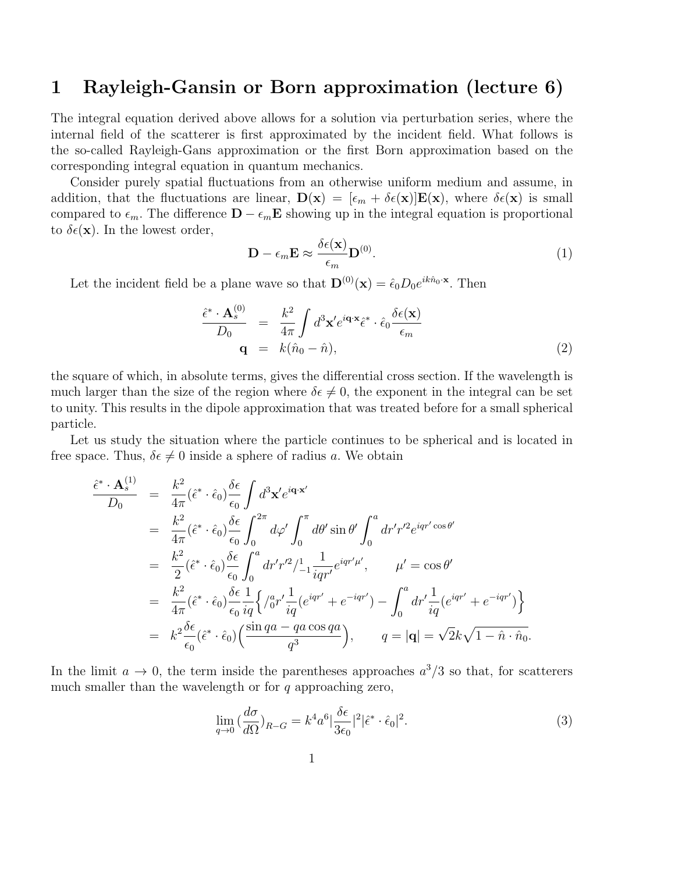## 1 Rayleigh-Gansin or Born approximation (lecture 6)

The integral equation derived above allows for a solution via perturbation series, where the internal field of the scatterer is first approximated by the incident field. What follows is the so-called Rayleigh-Gans approximation or the first Born approximation based on the corresponding integral equation in quantum mechanics.

Consider purely spatial fluctuations from an otherwise uniform medium and assume, in addition, that the fluctuations are linear,  $\mathbf{D}(\mathbf{x}) = [\epsilon_m + \delta \epsilon(\mathbf{x})] \mathbf{E}(\mathbf{x})$ , where  $\delta \epsilon(\mathbf{x})$  is small compared to  $\epsilon_m$ . The difference  $\mathbf{D} - \epsilon_m \mathbf{E}$  showing up in the integral equation is proportional to  $\delta \epsilon(\mathbf{x})$ . In the lowest order,

$$
\mathbf{D} - \epsilon_m \mathbf{E} \approx \frac{\delta \epsilon(\mathbf{x})}{\epsilon_m} \mathbf{D}^{(0)}.
$$
 (1)

Let the incident field be a plane wave so that  $\mathbf{D}^{(0)}(\mathbf{x}) = \hat{\epsilon}_0 D_0 e^{ik\hat{n}_0 \cdot \mathbf{x}}$ . Then

$$
\frac{\hat{\epsilon}^* \cdot \mathbf{A}_s^{(0)}}{D_0} = \frac{k^2}{4\pi} \int d^3 \mathbf{x}' e^{i\mathbf{q} \cdot \mathbf{x}} \hat{\epsilon}^* \cdot \hat{\epsilon}_0 \frac{\delta \epsilon(\mathbf{x})}{\epsilon_m}
$$
\n
$$
\mathbf{q} = k(\hat{n}_0 - \hat{n}), \tag{2}
$$

the square of which, in absolute terms, gives the differential cross section. If the wavelength is much larger than the size of the region where  $\delta \epsilon \neq 0$ , the exponent in the integral can be set to unity. This results in the dipole approximation that was treated before for a small spherical particle.

Let us study the situation where the particle continues to be spherical and is located in free space. Thus,  $\delta \epsilon \neq 0$  inside a sphere of radius a. We obtain

$$
\frac{\hat{\epsilon}^* \cdot \mathbf{A}_s^{(1)}}{D_0} = \frac{k^2}{4\pi} (\hat{\epsilon}^* \cdot \hat{\epsilon}_0) \frac{\delta \epsilon}{\epsilon_0} \int d^3 \mathbf{x}' e^{i\mathbf{q} \cdot \mathbf{x}'} \n= \frac{k^2}{4\pi} (\hat{\epsilon}^* \cdot \hat{\epsilon}_0) \frac{\delta \epsilon}{\epsilon_0} \int_0^{2\pi} d\varphi' \int_0^{\pi} d\theta' \sin \theta' \int_0^a dr' r'^2 e^{iqr' \cos \theta'} \n= \frac{k^2}{2} (\hat{\epsilon}^* \cdot \hat{\epsilon}_0) \frac{\delta \epsilon}{\epsilon_0} \int_0^a dr' r'^2 / \frac{1}{1} \frac{1}{iqr'} e^{iqr'\mu'}, \qquad \mu' = \cos \theta' \n= \frac{k^2}{4\pi} (\hat{\epsilon}^* \cdot \hat{\epsilon}_0) \frac{\delta \epsilon}{\epsilon_0} \frac{1}{iq} \left\{ \frac{1}{0} r' \frac{1}{iq} (e^{iqr'} + e^{-iqr'} ) - \int_0^a dr' \frac{1}{iq} (e^{iqr'} + e^{-iqr'}) \right\} \n= k^2 \frac{\delta \epsilon}{\epsilon_0} (\hat{\epsilon}^* \cdot \hat{\epsilon}_0) \left( \frac{\sin qa - qa \cos qa}{q^3} \right), \qquad q = |\mathbf{q}| = \sqrt{2}k\sqrt{1 - \hat{n} \cdot \hat{n}_0}.
$$

In the limit  $a \to 0$ , the term inside the parentheses approaches  $a^3/3$  so that, for scatterers much smaller than the wavelength or for  $q$  approaching zero,

$$
\lim_{q \to 0} \left(\frac{d\sigma}{d\Omega}\right)_{R-G} = k^4 a^6 \left|\frac{\delta\epsilon}{3\epsilon_0}\right|^2 \left|\hat{\epsilon}^* \cdot \hat{\epsilon}_0\right|^2. \tag{3}
$$